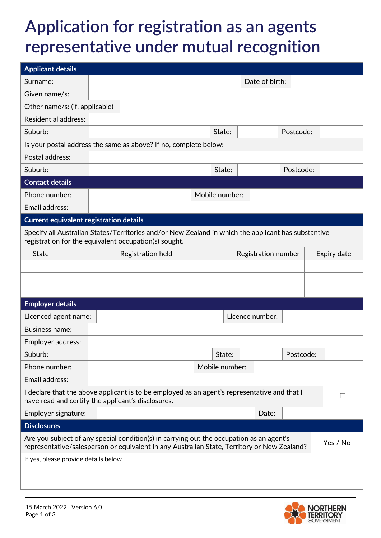## **Application for registration as an agents representative under mutual recognition**

| <b>Applicant details</b>                                                                                                                                                                            |  |                   |                                                                                                                                                    |  |  |                |                     |       |           |  |              |
|-----------------------------------------------------------------------------------------------------------------------------------------------------------------------------------------------------|--|-------------------|----------------------------------------------------------------------------------------------------------------------------------------------------|--|--|----------------|---------------------|-------|-----------|--|--------------|
| Surname:                                                                                                                                                                                            |  |                   |                                                                                                                                                    |  |  | Date of birth: |                     |       |           |  |              |
| Given name/s:                                                                                                                                                                                       |  |                   |                                                                                                                                                    |  |  |                |                     |       |           |  |              |
| Other name/s: (if, applicable)                                                                                                                                                                      |  |                   |                                                                                                                                                    |  |  |                |                     |       |           |  |              |
| <b>Residential address:</b>                                                                                                                                                                         |  |                   |                                                                                                                                                    |  |  |                |                     |       |           |  |              |
| Suburb:                                                                                                                                                                                             |  |                   |                                                                                                                                                    |  |  | State:         |                     |       | Postcode: |  |              |
|                                                                                                                                                                                                     |  |                   | Is your postal address the same as above? If no, complete below:                                                                                   |  |  |                |                     |       |           |  |              |
| Postal address:                                                                                                                                                                                     |  |                   |                                                                                                                                                    |  |  |                |                     |       |           |  |              |
| Suburb:                                                                                                                                                                                             |  |                   |                                                                                                                                                    |  |  | State:         |                     |       | Postcode: |  |              |
| <b>Contact details</b>                                                                                                                                                                              |  |                   |                                                                                                                                                    |  |  |                |                     |       |           |  |              |
| Phone number:                                                                                                                                                                                       |  | Mobile number:    |                                                                                                                                                    |  |  |                |                     |       |           |  |              |
| Email address:                                                                                                                                                                                      |  |                   |                                                                                                                                                    |  |  |                |                     |       |           |  |              |
| <b>Current equivalent registration details</b>                                                                                                                                                      |  |                   |                                                                                                                                                    |  |  |                |                     |       |           |  |              |
| Specify all Australian States/Territories and/or New Zealand in which the applicant has substantive<br>registration for the equivalent occupation(s) sought.                                        |  |                   |                                                                                                                                                    |  |  |                |                     |       |           |  |              |
| <b>State</b>                                                                                                                                                                                        |  | Registration held |                                                                                                                                                    |  |  |                | Registration number |       |           |  | Expiry date  |
|                                                                                                                                                                                                     |  |                   |                                                                                                                                                    |  |  |                |                     |       |           |  |              |
|                                                                                                                                                                                                     |  |                   |                                                                                                                                                    |  |  |                |                     |       |           |  |              |
|                                                                                                                                                                                                     |  |                   |                                                                                                                                                    |  |  |                |                     |       |           |  |              |
| <b>Employer details</b>                                                                                                                                                                             |  |                   |                                                                                                                                                    |  |  |                |                     |       |           |  |              |
| Licenced agent name:                                                                                                                                                                                |  | Licence number:   |                                                                                                                                                    |  |  |                |                     |       |           |  |              |
| <b>Business name:</b>                                                                                                                                                                               |  |                   |                                                                                                                                                    |  |  |                |                     |       |           |  |              |
| Employer address:                                                                                                                                                                                   |  |                   |                                                                                                                                                    |  |  |                |                     |       |           |  |              |
| Suburb:                                                                                                                                                                                             |  |                   |                                                                                                                                                    |  |  | State:         |                     |       | Postcode: |  |              |
| Phone number:                                                                                                                                                                                       |  |                   |                                                                                                                                                    |  |  | Mobile number: |                     |       |           |  |              |
| Email address:                                                                                                                                                                                      |  |                   |                                                                                                                                                    |  |  |                |                     |       |           |  |              |
|                                                                                                                                                                                                     |  |                   | I declare that the above applicant is to be employed as an agent's representative and that I<br>have read and certify the applicant's disclosures. |  |  |                |                     |       |           |  | $\mathbf{L}$ |
| Employer signature:                                                                                                                                                                                 |  |                   |                                                                                                                                                    |  |  |                |                     | Date: |           |  |              |
| <b>Disclosures</b>                                                                                                                                                                                  |  |                   |                                                                                                                                                    |  |  |                |                     |       |           |  |              |
| Are you subject of any special condition(s) in carrying out the occupation as an agent's<br>Yes / No<br>representative/salesperson or equivalent in any Australian State, Territory or New Zealand? |  |                   |                                                                                                                                                    |  |  |                |                     |       |           |  |              |
| If yes, please provide details below                                                                                                                                                                |  |                   |                                                                                                                                                    |  |  |                |                     |       |           |  |              |
|                                                                                                                                                                                                     |  |                   |                                                                                                                                                    |  |  |                |                     |       |           |  |              |
|                                                                                                                                                                                                     |  |                   |                                                                                                                                                    |  |  |                |                     |       |           |  |              |

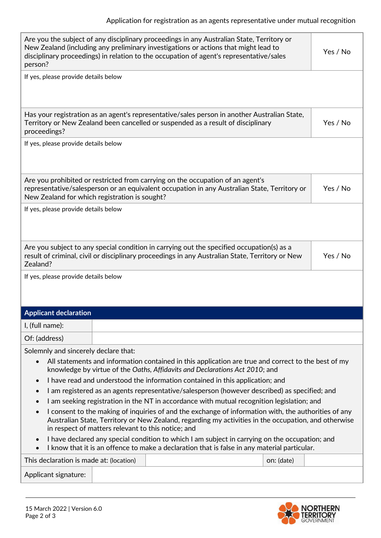| Are you the subject of any disciplinary proceedings in any Australian State, Territory or<br>New Zealand (including any preliminary investigations or actions that might lead to<br>Yes / No<br>disciplinary proceedings) in relation to the occupation of agent's representative/sales<br>person? |  |  |  |  |  |  |
|----------------------------------------------------------------------------------------------------------------------------------------------------------------------------------------------------------------------------------------------------------------------------------------------------|--|--|--|--|--|--|
| If yes, please provide details below                                                                                                                                                                                                                                                               |  |  |  |  |  |  |
|                                                                                                                                                                                                                                                                                                    |  |  |  |  |  |  |
| Has your registration as an agent's representative/sales person in another Australian State,<br>Yes / No<br>Territory or New Zealand been cancelled or suspended as a result of disciplinary<br>proceedings?                                                                                       |  |  |  |  |  |  |
| If yes, please provide details below                                                                                                                                                                                                                                                               |  |  |  |  |  |  |
|                                                                                                                                                                                                                                                                                                    |  |  |  |  |  |  |
| Are you prohibited or restricted from carrying on the occupation of an agent's<br>representative/salesperson or an equivalent occupation in any Australian State, Territory or<br>Yes / No<br>New Zealand for which registration is sought?                                                        |  |  |  |  |  |  |
| If yes, please provide details below                                                                                                                                                                                                                                                               |  |  |  |  |  |  |
| Are you subject to any special condition in carrying out the specified occupation(s) as a<br>Yes / No<br>result of criminal, civil or disciplinary proceedings in any Australian State, Territory or New<br>Zealand?                                                                               |  |  |  |  |  |  |
| If yes, please provide details below                                                                                                                                                                                                                                                               |  |  |  |  |  |  |
|                                                                                                                                                                                                                                                                                                    |  |  |  |  |  |  |
| <b>Applicant declaration</b>                                                                                                                                                                                                                                                                       |  |  |  |  |  |  |
| I, (full name):                                                                                                                                                                                                                                                                                    |  |  |  |  |  |  |
|                                                                                                                                                                                                                                                                                                    |  |  |  |  |  |  |
| Of: (address)                                                                                                                                                                                                                                                                                      |  |  |  |  |  |  |
| Solemnly and sincerely declare that:                                                                                                                                                                                                                                                               |  |  |  |  |  |  |
| All statements and information contained in this application are true and correct to the best of my<br>knowledge by virtue of the Oaths, Affidavits and Declarations Act 2010; and                                                                                                                 |  |  |  |  |  |  |
| I have read and understood the information contained in this application; and<br>$\bullet$                                                                                                                                                                                                         |  |  |  |  |  |  |
| I am registered as an agents representative/salesperson (however described) as specified; and<br>$\bullet$                                                                                                                                                                                         |  |  |  |  |  |  |
| I am seeking registration in the NT in accordance with mutual recognition legislation; and<br>$\bullet$                                                                                                                                                                                            |  |  |  |  |  |  |
| I consent to the making of inquiries of and the exchange of information with, the authorities of any<br>$\bullet$<br>Australian State, Territory or New Zealand, regarding my activities in the occupation, and otherwise<br>in respect of matters relevant to this notice; and                    |  |  |  |  |  |  |
| I have declared any special condition to which I am subject in carrying on the occupation; and<br>$\bullet$<br>I know that it is an offence to make a declaration that is false in any material particular.                                                                                        |  |  |  |  |  |  |
| This declaration is made at: (location)<br>on: (date)                                                                                                                                                                                                                                              |  |  |  |  |  |  |
| Applicant signature:                                                                                                                                                                                                                                                                               |  |  |  |  |  |  |
|                                                                                                                                                                                                                                                                                                    |  |  |  |  |  |  |